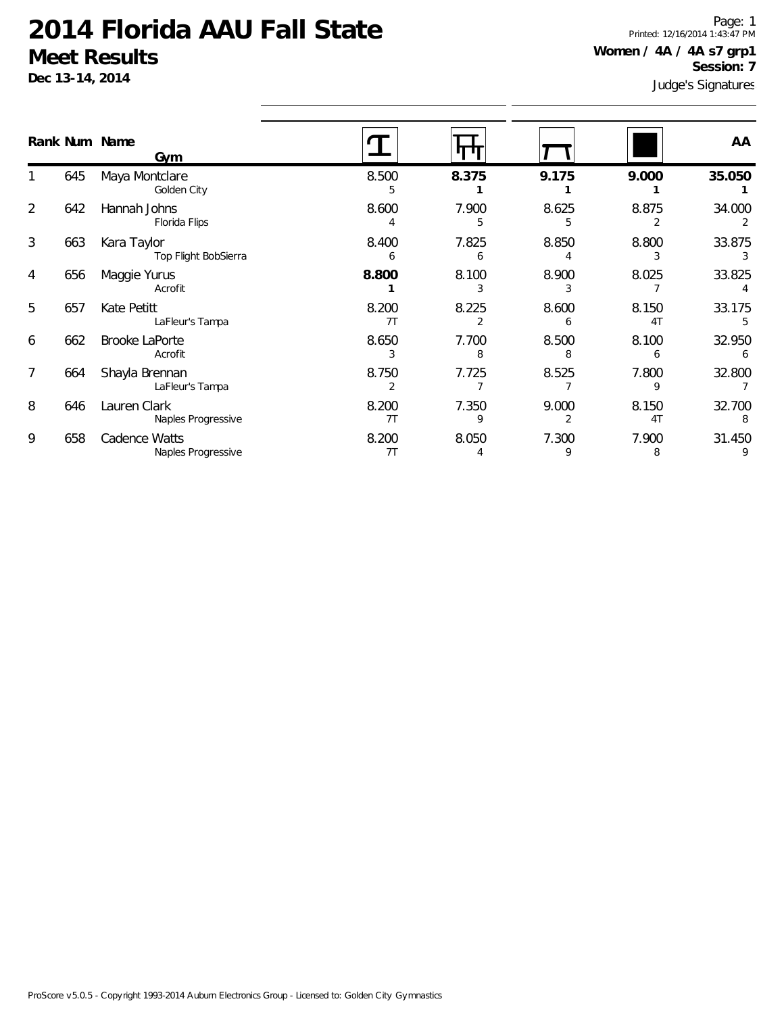**Dec 13-14, 2014**

Judge's Signatures Page: 1 Printed: 12/16/2014 1:43:47 PM **Women / 4A / 4A s7 grp1 Session: 7**

|   |     | Rank Num Name<br>Gym                |             |            |            |                         | AA          |
|---|-----|-------------------------------------|-------------|------------|------------|-------------------------|-------------|
|   | 645 | Maya Montclare<br>Golden City       | 8.500<br>5  | 8.375      | 9.175      | 9.000                   | 35.050      |
| 2 | 642 | Hannah Johns<br>Florida Flips       | 8.600       | 7.900      | 8.625      | 8.875                   | 34.000      |
| 3 | 663 | Kara Taylor<br>Top Flight BobSierra | 8.400       | 7.825      | 8.850      | 8.800                   | 33.875      |
| 4 | 656 | Maggie Yurus<br>Acrofit             | 8.800       | 8.100      | 8.900      | 8.025                   | 33.825      |
| 5 | 657 | Kate Petitt<br>LaFleur's Tampa      | 8.200<br>7T | 8.225      | 8.600      | 8.150<br>4T             | 33.175      |
| 6 | 662 | <b>Brooke LaPorte</b><br>Acrofit    | 8.650<br>3  | 7.700<br>8 | 8.500<br>8 | 8.100<br>6              | 32.950<br>6 |
| 7 | 664 | Shayla Brennan<br>LaFleur's Tampa   | 8.750       | 7.725      | 8.525      | 7.800                   | 32.800      |
| 8 | 646 | Lauren Clark<br>Naples Progressive  | 8.200<br>7T | 7.350<br>q | 9.000      | 8.150<br>4 <sub>T</sub> | 32.700      |
| 9 | 658 | Cadence Watts<br>Naples Progressive | 8.200<br>7T | 8.050      | 7.300<br>9 | 7.900<br>8              | 31.450      |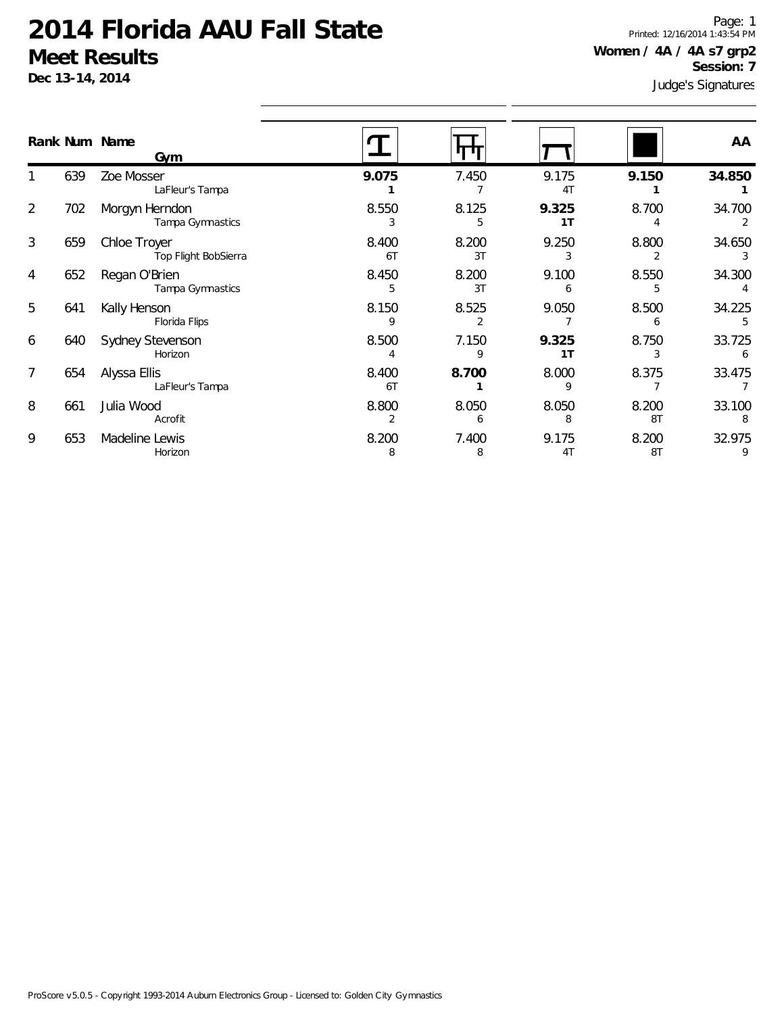**Dec 13-14, 2014**

Judge's Signatures Page: 1 Printed: 12/16/2014 1:43:54 PM **Women / 4A / 4A s7 grp2 Session: 7**

|   |     | Rank Num Name<br>Gym                 |             |             |                         |             | AA          |
|---|-----|--------------------------------------|-------------|-------------|-------------------------|-------------|-------------|
|   | 639 | Zoe Mosser<br>LaFleur's Tampa        | 9.075       | 7.450       | 9.175<br>4T             | 9.150       | 34.850      |
| 2 | 702 | Morgyn Herndon<br>Tampa Gymnastics   | 8.550       | 8.125<br>5  | 9.325<br>1 <sub>T</sub> | 8.700       | 34.700      |
| 3 | 659 | Chloe Troyer<br>Top Flight BobSierra | 8.400<br>6T | 8.200<br>3T | 9.250                   | 8.800       | 34.650      |
| 4 | 652 | Regan O'Brien<br>Tampa Gymnastics    | 8.450<br>5  | 8.200<br>3T | 9.100<br>6              | 8.550<br>5  | 34.300      |
| 5 | 641 | Kally Henson<br>Florida Flips        | 8.150<br>Q  | 8.525       | 9.050                   | 8.500       | 34.225      |
| 6 | 640 | Sydney Stevenson<br>Horizon          | 8.500<br>4  | 7.150<br>9  | 9.325<br>1 <sub>T</sub> | 8.750<br>3  | 33.725<br>6 |
| 7 | 654 | Alyssa Ellis<br>LaFleur's Tampa      | 8.400<br>6T | 8.700       | 8.000<br>q              | 8.375       | 33.475      |
| 8 | 661 | Julia Wood<br>Acrofit                | 8.800       | 8.050<br>6  | 8.050<br>8              | 8.200<br>8T | 33.100      |
| 9 | 653 | Madeline Lewis<br>Horizon            | 8.200<br>8  | 7.400<br>8  | 9.175<br>4 <sub>1</sub> | 8.200<br>8T | 32.975      |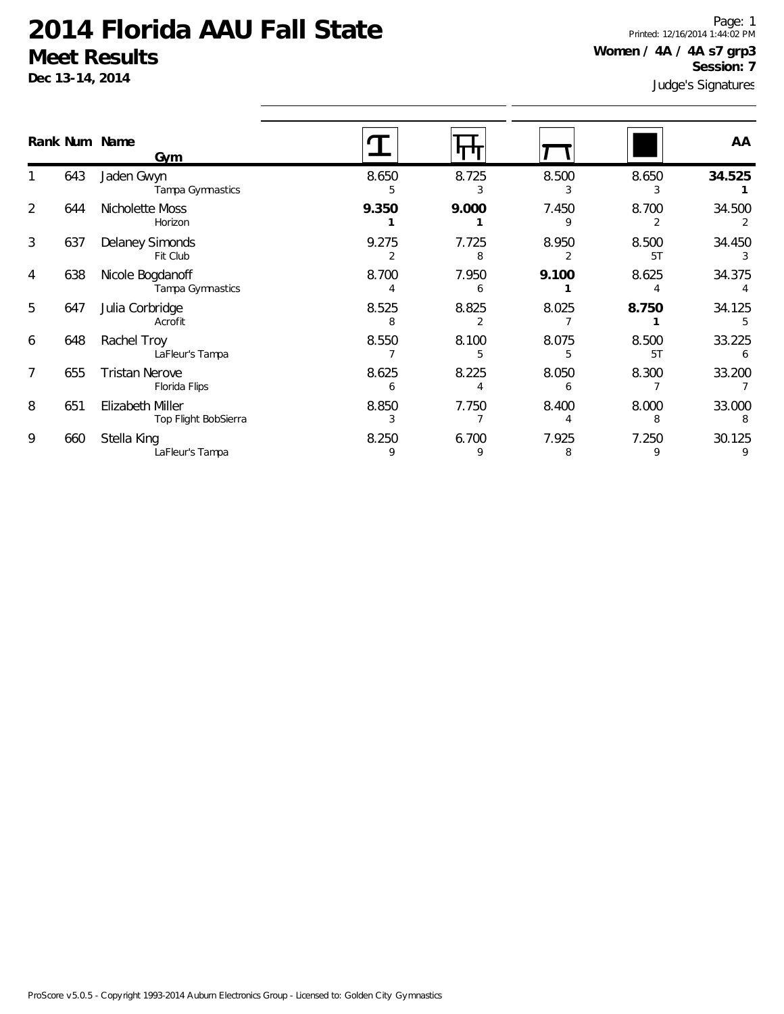**Dec 13-14, 2014**

Judge's Signatures Page: 1 Printed: 12/16/2014 1:44:02 PM **Women / 4A / 4A s7 grp3 Session: 7**

|   |     | Rank Num Name<br>Gym                     |            |            |            |             | AA          |
|---|-----|------------------------------------------|------------|------------|------------|-------------|-------------|
|   | 643 | Jaden Gwyn<br>Tampa Gymnastics           | 8.650<br>5 | 8.725      | 8.500      | 8.650<br>3  | 34.525      |
| 2 | 644 | Nicholette Moss<br>Horizon               | 9.350      | 9.000      | 7.450      | 8.700       | 34.500      |
| 3 | 637 | Delaney Simonds<br>Fit Club              | 9.275      | 7.725      | 8.950      | 8.500<br>5T | 34.450      |
| 4 | 638 | Nicole Bogdanoff<br>Tampa Gymnastics     | 8.700      | 7.950<br>6 | 9.100      | 8.625       | 34.375      |
| 5 | 647 | Julia Corbridge<br>Acrofit               | 8.525      | 8.825      | 8.025      | 8.750       | 34.125      |
| 6 | 648 | Rachel Troy<br>LaFleur's Tampa           | 8.550      | 8.100<br>5 | 8.075<br>5 | 8.500<br>5T | 33.225<br>6 |
| 7 | 655 | <b>Tristan Nerove</b><br>Florida Flips   | 8.625      | 8.225      | 8.050      | 8.300       | 33.200      |
| 8 | 651 | Elizabeth Miller<br>Top Flight BobSierra | 8.850      | 7.750      | 8.400      | 8.000<br>8  | 33.000<br>8 |
| 9 | 660 | Stella King<br>LaFleur's Tampa           | 8.250<br>9 | 6.700<br>9 | 7.925<br>8 | 7.250<br>9  | 30.125      |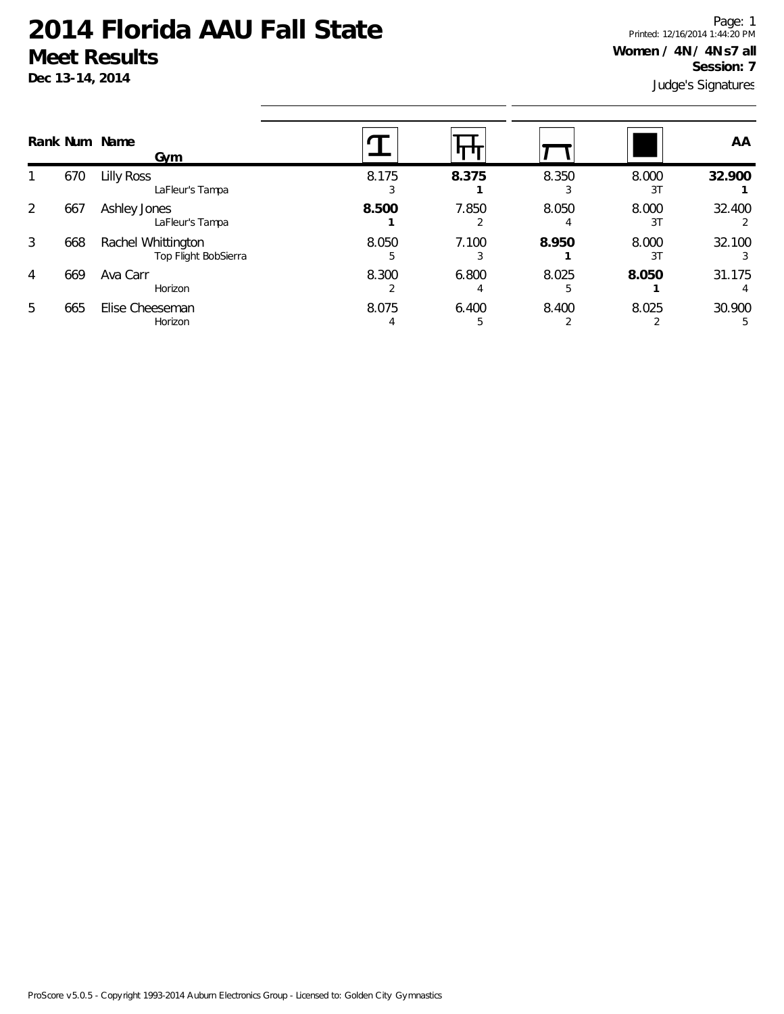**Dec 13-14, 2014**

Judge's Signatures Page: 1 Printed: 12/16/2014 1:44:20 PM **Women / 4N / 4N s7 all Session: 7**

|   |     | Rank Num Name<br>Gym                       |       |            |       |             | AA     |
|---|-----|--------------------------------------------|-------|------------|-------|-------------|--------|
|   | 670 | <b>Lilly Ross</b><br>LaFleur's Tampa       | 8.175 | 8.375      | 8.350 | 8.000<br>31 | 32.900 |
| 2 | 667 | Ashley Jones<br>LaFleur's Tampa            | 8.500 | 7.850      | 8.050 | 8.000<br>31 | 32.400 |
| 3 | 668 | Rachel Whittington<br>Top Flight BobSierra | 8.050 | 7.100<br>3 | 8.950 | 8.000<br>31 | 32.100 |
| 4 | 669 | Ava Carr<br>Horizon                        | 8.300 | 6.800      | 8.025 | 8.050       | 31.175 |
| 5 | 665 | Elise Cheeseman<br>Horizon                 | 8.075 | 6.400      | 8.400 | 8.025       | 30.900 |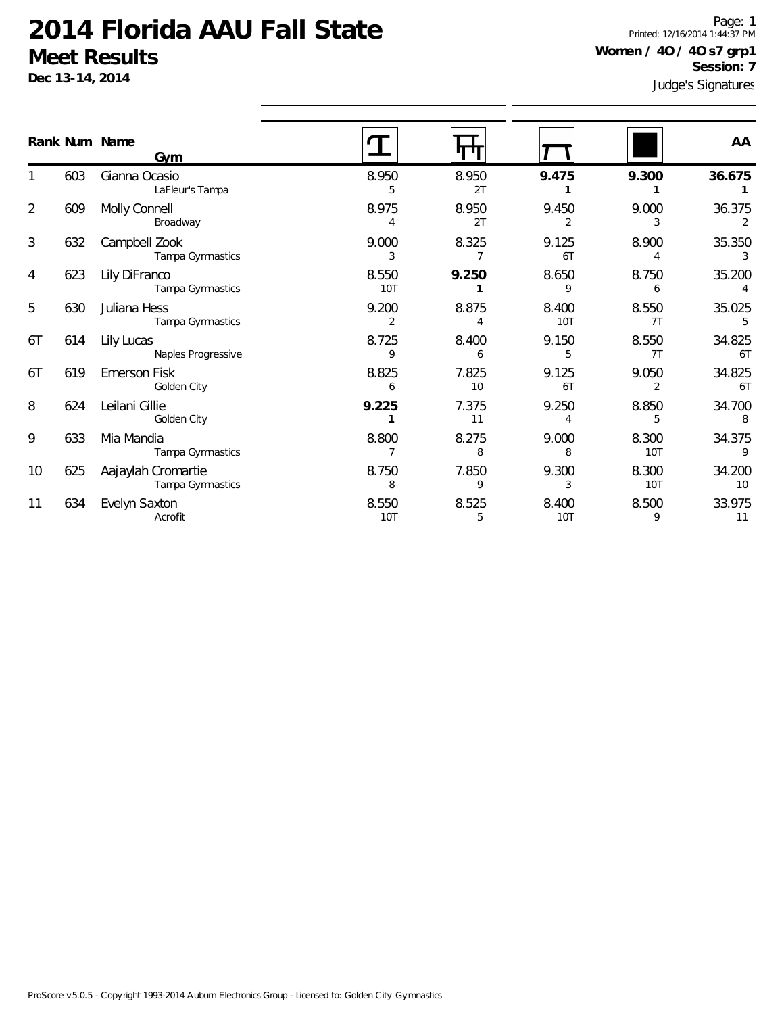1

2

3

4

5

6T

6T

8

9

10

11

633 Mia Mandia

634 Evelyn Saxton

625 Aajaylah Cromartie

Tampa Gymnastics

Tampa Gymnastics

Acrofit

Page: 1 Printed: 12/16/2014 1:44:37 PM **Women / 4O / 4O s7 grp1 Session: 7**

|    |     | Dec 13-14, 2014                    |                         |             | Session: 7<br>Judge's Signatures |                         |                         |  |
|----|-----|------------------------------------|-------------------------|-------------|----------------------------------|-------------------------|-------------------------|--|
|    |     | Rank Num Name<br>Gym               |                         |             |                                  |                         | AA                      |  |
|    | 603 | Gianna Ocasio<br>LaFleur's Tampa   | 8.950<br>5              | 8.950<br>2T | 9.475                            | 9.300                   | 36.675                  |  |
| 2  | 609 | Molly Connell<br>Broadway          | 8.975<br>4              | 8.950<br>2T | 9.450<br>2                       | 9.000<br>3              | 36.375<br>$\mathcal{P}$ |  |
| 3  | 632 | Campbell Zook<br>Tampa Gymnastics  | 9.000<br>3              | 8.325       | 9.125<br>6T                      | 8.900                   | 35.350                  |  |
| 4  | 623 | Lily DiFranco<br>Tampa Gymnastics  | 8.550<br>10T            | 9.250       | 8.650<br>9                       | 8.750<br>6              | 35.200                  |  |
| 5  | 630 | Juliana Hess<br>Tampa Gymnastics   | 9.200<br>$\overline{2}$ | 8.875       | 8.400<br><b>10T</b>              | 8.550<br>7T             | 35.025                  |  |
| 6Τ | 614 | Lily Lucas<br>Naples Progressive   | 8.725<br>9              | 8.400<br>6  | 9.150<br>5                       | 8.550<br>7T             | 34.825<br>6T            |  |
| 6T | 619 | <b>Emerson Fisk</b><br>Golden City | 8.825<br>6              | 7.825<br>10 | 9.125<br>6T                      | 9.050<br>$\overline{2}$ | 34.825<br>6T            |  |
| 8  | 624 | Leilani Gillie<br>Golden City      | 9.225                   | 7.375<br>11 | 9.250                            | 8.850<br>5              | 34.700<br>8             |  |

8.800 8.275 9.000 8.300 34.375 7 8 8 10T 9

8.750 7.850 9.300 8.300 34.200 8 9 3 10T 10

8.550 8.525 8.400 8.500 33.975 10T 5 10T 9 11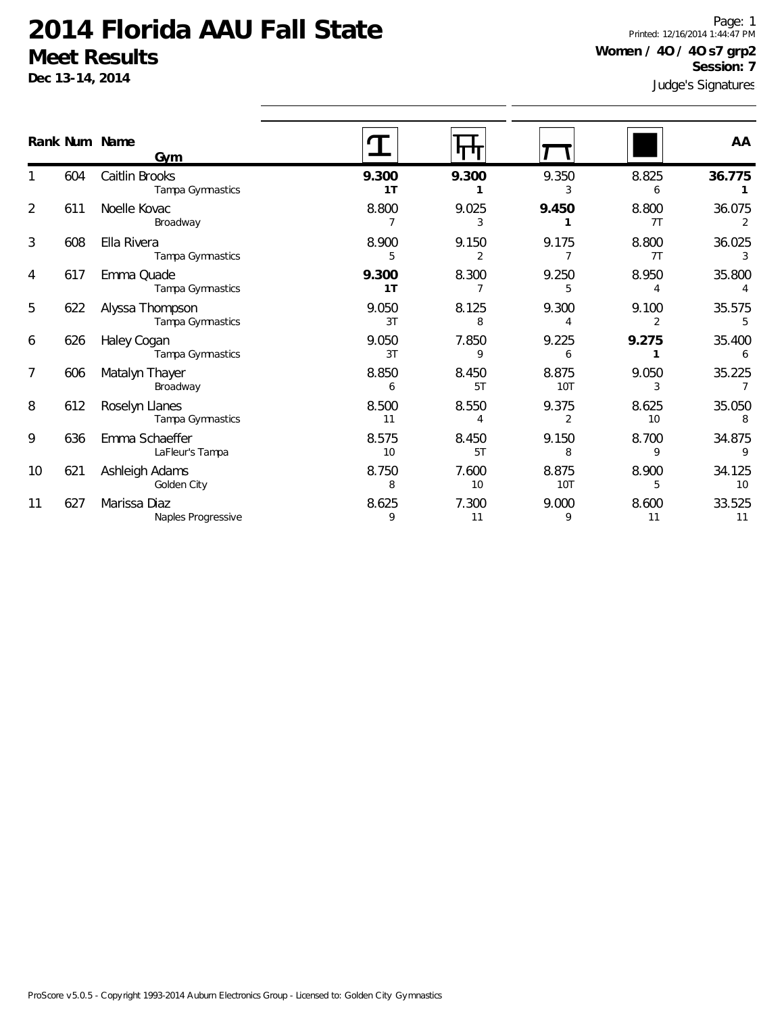**Dec 13-14, 2014**

1

2

3

4

5

6

7

8

9

10

11

Judge's Signatures Page: 1 Printed: 12/16/2014 1:44:47 PM **Women / 4O / 4O s7 grp2 Session: 7**

|                |     |                                     |             |                         |                         |                         | Judge S Jighalul es    |
|----------------|-----|-------------------------------------|-------------|-------------------------|-------------------------|-------------------------|------------------------|
|                |     | Rank Num Name<br>Gym                |             |                         |                         |                         | AA                     |
|                | 604 | Caitlin Brooks<br>Tampa Gymnastics  | 9.300<br>1T | 9.300                   | 9.350<br>3              | 8.825<br>6              | 36.775                 |
| $\overline{a}$ | 611 | Noelle Kovac<br>Broadway            | 8.800<br>7  | 9.025<br>3              | 9.450                   | 8.800<br>7T             | 36.075<br>2            |
| 3              | 608 | Ella Rivera<br>Tampa Gymnastics     | 8.900<br>5  | 9.150<br>$\overline{2}$ | 9.175<br>$\overline{7}$ | 8.800<br>7T             | 36.025                 |
| 4              | 617 | Emma Quade<br>Tampa Gymnastics      | 9.300<br>1T | 8.300<br>7              | 9.250<br>5              | 8.950<br>4              | 35.800                 |
| 5              | 622 | Alyssa Thompson<br>Tampa Gymnastics | 9.050<br>3T | 8.125<br>8              | 9.300                   | 9.100<br>$\overline{2}$ | 35.575<br>5            |
| 6              | 626 | Haley Cogan<br>Tampa Gymnastics     | 9.050<br>3T | 7.850<br>9              | 9.225<br>6              | 9.275<br>1              | 35.400<br>6            |
| 7              | 606 | Matalyn Thayer<br>Broadway          | 8.850<br>6  | 8.450<br>5T             | 8.875<br><b>10T</b>     | 9.050<br>3              | 35.225<br>7            |
| 8              | 612 | Roselyn Llanes<br>Tampa Gymnastics  | 8.500<br>11 | 8.550<br>4              | 9.375<br>2              | 8.625<br>10             | 35.050                 |
| 9              | 636 | Emma Schaeffer<br>LaFleur's Tampa   | 8.575<br>10 | 8.450<br>5T             | 9.150<br>8              | 8.700<br>9              | 34.875<br>$\mathsf{Q}$ |
| 10             | 621 | Ashleigh Adams<br>Golden City       | 8.750<br>8  | 7.600<br>10             | 8.875<br>10T            | 8.900<br>5              | 34.125<br>10           |
| 11             | 627 | Marissa Diaz<br>Naples Progressive  | 8.625<br>9  | 7.300<br>11             | 9.000<br>9              | 8.600<br>11             | 33.525<br>11           |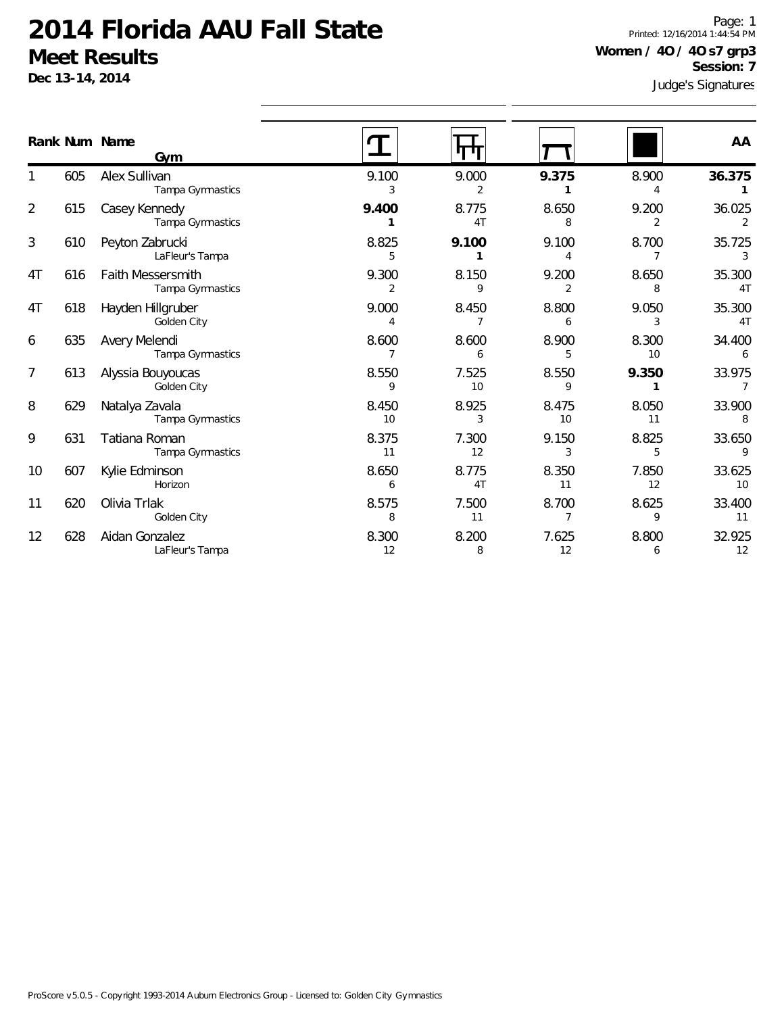**Dec 13-14, 2014**

Judge's Signatures Page: 1 Printed: 12/16/2014 1:44:54 PM **Women / 4O / 4O s7 grp3 Session: 7**

|                |     | Rank Num Name<br>Gym                         |                        |             |                         |             | AA           |
|----------------|-----|----------------------------------------------|------------------------|-------------|-------------------------|-------------|--------------|
|                | 605 | Alex Sullivan<br>Tampa Gymnastics            | 9.100<br>3             | 9.000<br>2  | 9.375                   | 8.900       | 36.375       |
| $\overline{2}$ | 615 | Casey Kennedy<br>Tampa Gymnastics            | 9.400                  | 8.775<br>4T | 8.650<br>8              | 9.200       | 36.025<br>2  |
| 3              | 610 | Peyton Zabrucki<br>LaFleur's Tampa           | 8.825<br>5             | 9.100<br>1  | 9.100                   | 8.700<br>7  | 35.725<br>3  |
| 4T             | 616 | <b>Faith Messersmith</b><br>Tampa Gymnastics | 9.300<br>$\mathcal{P}$ | 8.150<br>9  | 9.200<br>$\mathfrak{D}$ | 8.650<br>8  | 35.300<br>4T |
| 4T             | 618 | Hayden Hillgruber<br>Golden City             | 9.000<br>4             | 8.450       | 8.800<br>6              | 9.050<br>3  | 35.300<br>4T |
| 6              | 635 | Avery Melendi<br>Tampa Gymnastics            | 8.600<br>7             | 8.600<br>6  | 8.900<br>5              | 8.300<br>10 | 34.400<br>6  |
| 7              | 613 | Alyssia Bouyoucas<br>Golden City             | 8.550<br>9             | 7.525<br>10 | 8.550<br>9              | 9.350       | 33.975       |
| 8              | 629 | Natalya Zavala<br>Tampa Gymnastics           | 8.450<br>10            | 8.925<br>3  | 8.475<br>10             | 8.050<br>11 | 33.900<br>8  |
| 9              | 631 | Tatiana Roman<br>Tampa Gymnastics            | 8.375<br>11            | 7.300<br>12 | 9.150                   | 8.825<br>5  | 33.650<br>9  |
| 10             | 607 | Kylie Edminson<br>Horizon                    | 8.650<br>6             | 8.775<br>4T | 8.350<br>11             | 7.850<br>12 | 33.625<br>10 |
| 11             | 620 | Olivia Trlak<br>Golden City                  | 8.575<br>8             | 7.500<br>11 | 8.700                   | 8.625<br>9  | 33.400<br>11 |
| 12             | 628 | Aidan Gonzalez<br>LaFleur's Tampa            | 8.300<br>12            | 8.200<br>8  | 7.625<br>12             | 8.800<br>6  | 32.925<br>12 |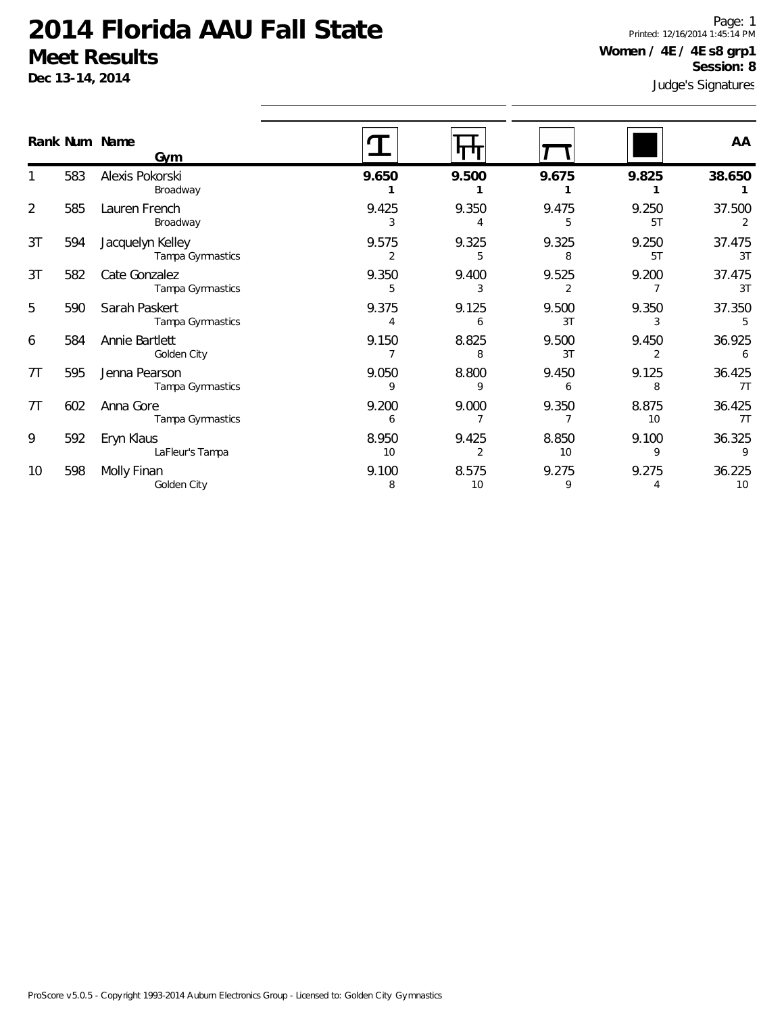**Dec 13-14, 2014**

Judge's Signatures Page: 1 Printed: 12/16/2014 1:45:14 PM **Women / 4E / 4E s8 grp1 Session: 8**

|                | Rank Num Name | Gym                                  |             |             |             |             | AA           |
|----------------|---------------|--------------------------------------|-------------|-------------|-------------|-------------|--------------|
|                | 583           | Alexis Pokorski<br>Broadway          | 9.650       | 9.500       | 9.675       | 9.825       | 38.650       |
| $\overline{2}$ | 585           | Lauren French<br>Broadway            | 9.425       | 9.350       | 9.475       | 9.250<br>5T | 37.500       |
| 3T             | 594           | Jacquelyn Kelley<br>Tampa Gymnastics | 9.575       | 9.325<br>5  | 9.325<br>8  | 9.250<br>5T | 37.475<br>3T |
| 3T             | 582           | Cate Gonzalez<br>Tampa Gymnastics    | 9.350<br>5  | 9.400<br>3  | 9.525       | 9.200       | 37.475<br>3T |
| 5              | 590           | Sarah Paskert<br>Tampa Gymnastics    | 9.375       | 9.125<br>6  | 9.500<br>3T | 9.350       | 37.350       |
| 6              | 584           | Annie Bartlett<br>Golden City        | 9.150       | 8.825<br>8  | 9.500<br>3T | 9.450<br>2  | 36.925<br>6  |
| 7T             | 595           | Jenna Pearson<br>Tampa Gymnastics    | 9.050<br>9  | 8.800<br>9  | 9.450<br>6  | 9.125<br>8  | 36.425<br>7T |
| 7T             | 602           | Anna Gore<br>Tampa Gymnastics        | 9.200<br>6  | 9.000       | 9.350       | 8.875<br>10 | 36.425<br>7T |
| 9              | 592           | Eryn Klaus<br>LaFleur's Tampa        | 8.950<br>10 | 9.425       | 8.850<br>10 | 9.100<br>9  | 36.325<br>9  |
| 10             | 598           | Molly Finan<br>Golden City           | 9.100<br>8  | 8.575<br>10 | 9.275<br>9  | 9.275<br>4  | 36.225<br>10 |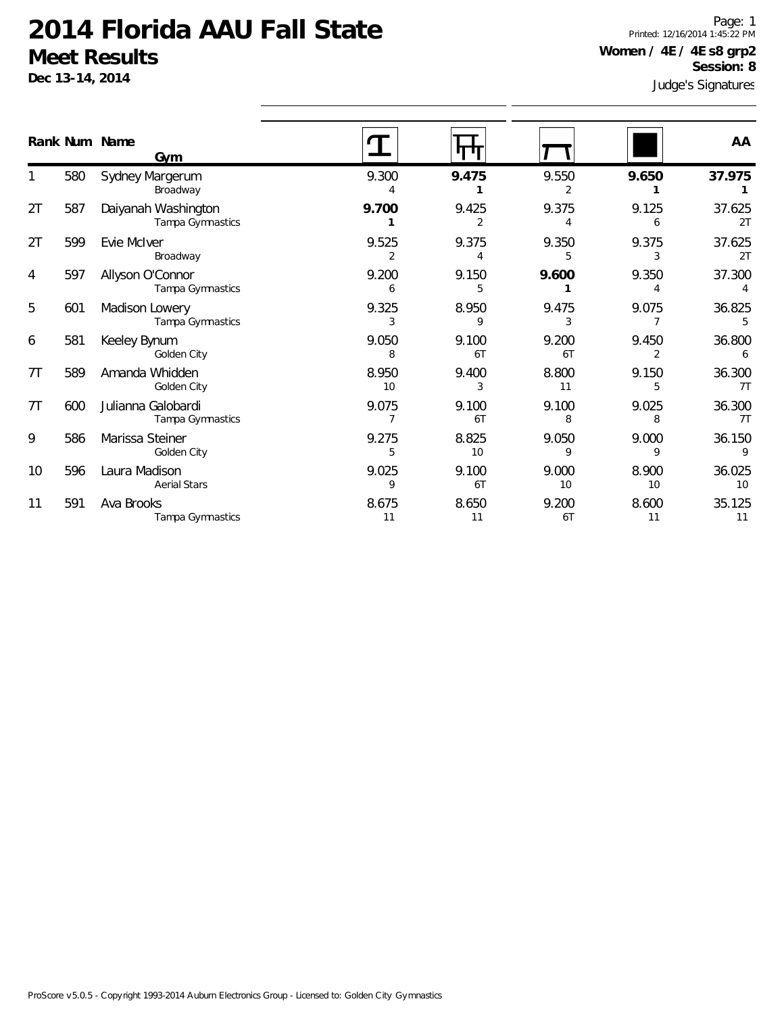**Dec 13-14, 2014**

Judge's Signatures Page: 1 Printed: 12/16/2014 1:45:22 PM **Women / 4E / 4E s8 grp2 Session: 8**

|    |     | Rank Num Name<br>Gym                    |                         |                         |             |                         | AA                       |
|----|-----|-----------------------------------------|-------------------------|-------------------------|-------------|-------------------------|--------------------------|
|    | 580 | Sydney Margerum<br>Broadway             | 9.300                   | 9.475                   | 9.550<br>2  | 9.650                   | 37.975                   |
| 2T | 587 | Daiyanah Washington<br>Tampa Gymnastics | 9.700                   | 9.425<br>$\overline{2}$ | 9.375<br>4  | 9.125<br>6              | 37.625<br>2T             |
| 2T | 599 | Evie McIver<br>Broadway                 | 9.525<br>$\overline{2}$ | 9.375<br>4              | 9.350<br>5  | 9.375<br>3              | 37.625<br>2T             |
| 4  | 597 | Allyson O'Connor<br>Tampa Gymnastics    | 9.200<br>6              | 9.150<br>5              | 9.600       | 9.350<br>4              | 37.300<br>$\overline{4}$ |
| 5  | 601 | Madison Lowery<br>Tampa Gymnastics      | 9.325<br>3              | 8.950<br>9              | 9.475<br>3  | 9.075<br>$\overline{7}$ | 36.825<br>5              |
| 6  | 581 | Keeley Bynum<br>Golden City             | 9.050<br>8              | 9.100<br>6T             | 9.200<br>6T | 9.450<br>2              | 36.800<br>6              |
| 7T | 589 | Amanda Whidden<br>Golden City           | 8.950<br>10             | 9.400<br>3              | 8.800<br>11 | 9.150<br>5              | 36.300<br>7T             |
| 7T | 600 | Julianna Galobardi<br>Tampa Gymnastics  | 9.075                   | 9.100<br>6T             | 9.100<br>8  | 9.025<br>8              | 36.300<br>7T             |
| 9  | 586 | Marissa Steiner<br>Golden City          | 9.275<br>5              | 8.825<br>10             | 9.050<br>9  | 9.000<br>9              | 36.150<br>9              |
| 10 | 596 | Laura Madison<br><b>Aerial Stars</b>    | 9.025<br>9              | 9.100<br>6T             | 9.000<br>10 | 8.900<br>10             | 36.025<br>10             |
| 11 | 591 | Ava Brooks<br>Tampa Gymnastics          | 8.675<br>11             | 8.650<br>11             | 9.200<br>6T | 8.600<br>11             | 35.125<br>11             |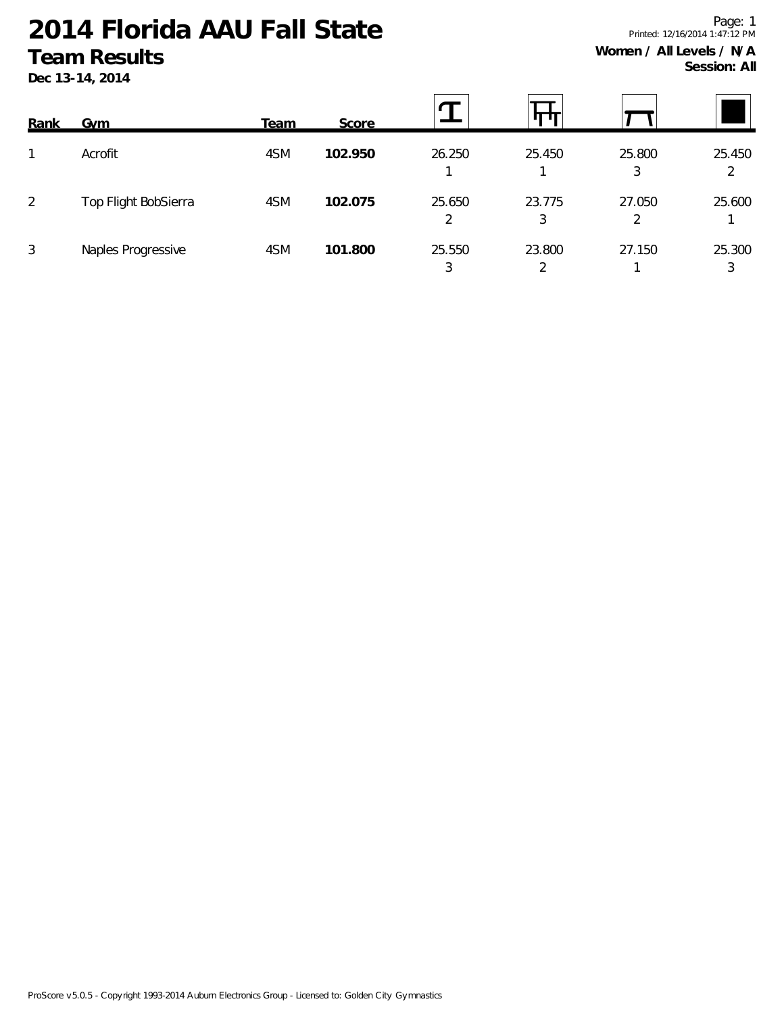**Dec 13-14, 2014**

| Rank           | <b>Gym</b>           | <b>Team</b> | Score   |             | Ш           |                          |             |
|----------------|----------------------|-------------|---------|-------------|-------------|--------------------------|-------------|
|                | Acrofit              | 4SM         | 102.950 | 26.250      | 25.450      | 25.800<br>3              | 25.450<br>2 |
| $\overline{2}$ | Top Flight BobSierra | 4SM         | 102.075 | 25.650<br>2 | 23.775<br>3 | 27.050<br>$\overline{2}$ | 25.600      |
| 3              | Naples Progressive   | 4SM         | 101.800 | 25.550<br>3 | 23.800      | 27.150                   | 25.300<br>3 |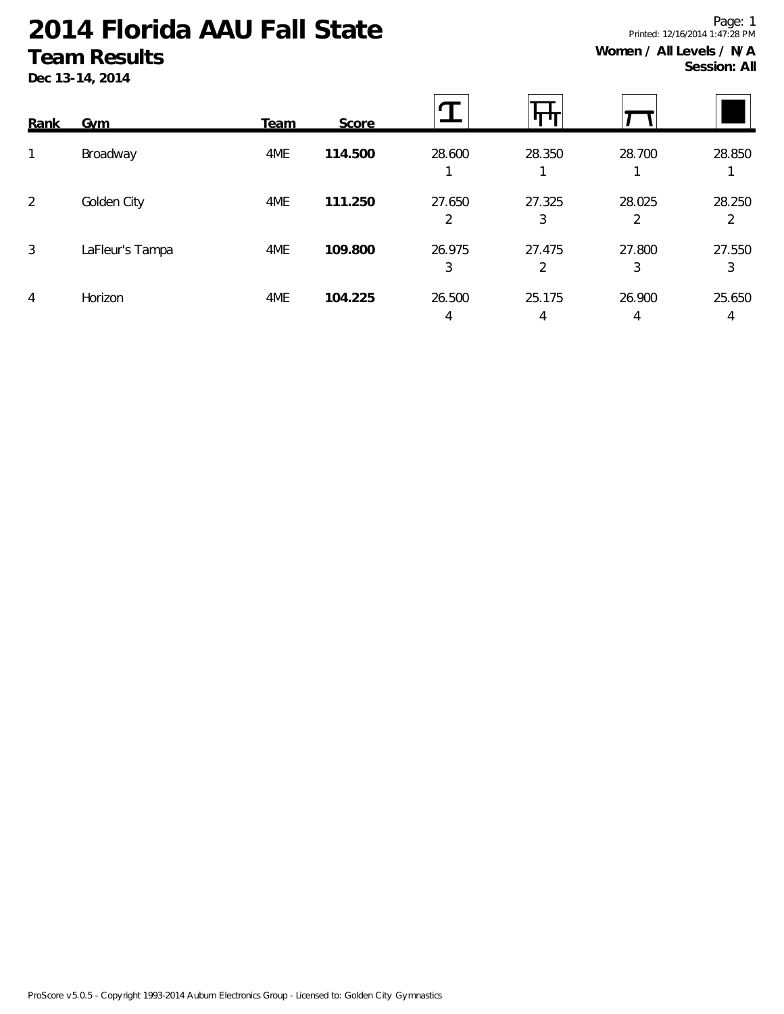**Dec 13-14, 2014**

| Rank           | <b>Gym</b>      | Team | Score   |             |             |             |             |
|----------------|-----------------|------|---------|-------------|-------------|-------------|-------------|
| 1              | Broadway        | 4ME  | 114.500 | 28.600      | 28.350      | 28.700      | 28.850      |
| $\overline{2}$ | Golden City     | 4ME  | 111.250 | 27.650<br>2 | 27.325<br>3 | 28.025<br>2 | 28.250<br>2 |
| 3              | LaFleur's Tampa | 4ME  | 109.800 | 26.975<br>3 | 27.475<br>2 | 27.800<br>3 | 27.550<br>3 |
| 4              | Horizon         | 4ME  | 104.225 | 26.500<br>4 | 25.175<br>4 | 26.900<br>4 | 25.650<br>4 |